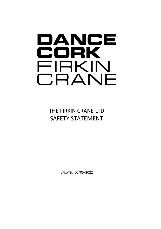# DANCE CORK FIRKIN CRANE

THE FIRKIN CRANE LTD SAFETY STATEMENT

UPDATED 05/05/2022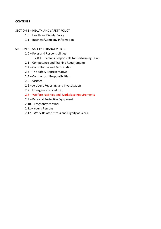### **CONTENTS**

#### SECTION 1 – HEALTH AND SAFETY POLICY

- 1.0 Health and Safety Policy
- 1.1 Business/Company Information

#### SECTION 2 – SAFETY ARRANGEMENTS

- 2.0 Roles and Responsibilities
	- 2.0.1 Persons Responsible for Performing Tasks
- 2.1 Competence and Training Requirements
- 2.2 Consultation and Participation
- 2.3 The Safety Representative
- 2.4 Contractors' Responsibilities
- 2.5 Visitors
- 2.6 Accident Reporting and Investigation
- 2.7 Emergency Procedures
- 2.8 Welfare Facilities and Workplace Requirements
- 2.9 Personal Protective Equipment
- 2.10 Pregnancy At Work
- 2.11 Young Persons
- 2.12 Work-Related Stress and Dignity at Work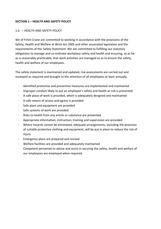### **SECTION 1 – HEALTH AND SAFETY POLICY**

#### 1.0 – HEALTH AND SAFETY POLICY

We of Firkin Crane are committed to working in accordance with the provisions of the Safety, Health and Welfare at Work Act 2005 and other associated legislation and the requirements of this Safety Statement. We are committed to fulfilling our statutory obligations to manage and co-ordinate workplace safety and health and ensuring, so as far as is reasonably practicable, that work activities are managed so as to ensure the safety, health and welfare of our employees.

The safety statement is maintained and updated, risk assessments are carried out and reviewed as required and brought to the attention of all employees at least annually.

- Identified protective and preventive measures are implemented and maintained
- Improper conduct likely to put an employee's safety and health at risk is prevented
- A safe place of work is provided, which is adequately designed and maintained
- A safe means of access and egress is provided
- Safe plant and equipment are provided
- Safe systems of work are provided
- Risks to health from any article or substance are prevented
- Appropriate information, instruction, training and supervision are provided
- Where hazards cannot be eliminated, adequate arrangements, including the provision of suitable protective clothing and equipment, will be put in place to reduce the risk of injury
- Emergency plans are prepared and revised
- Welfare facilities are provided and adequately maintained
- Competent personnel to advise and assist in securing the safety, health and welfare of our employees are employed when required.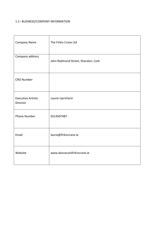# 1.1– BUSINESS/COMPANY INFORMATION

| Company Name                          | The Firkin Crane Ltd               |
|---------------------------------------|------------------------------------|
| Company address                       | John Redmond Street, Shandon, Cork |
| <b>CRO Number</b>                     |                                    |
| <b>Executive Artistic</b><br>Director | Laurie Uprichard                   |
| <b>Phone Number</b>                   | 0214507487                         |
| Email                                 | laurie@firkincrane.ie              |
| Website                               | www.dancecorkfirkincrane.ie        |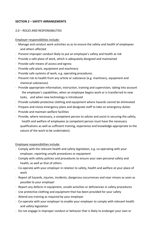# **SECTION 2 – SAFETY ARRANGEMENTS**

#### 2.0 – ROLES AND RESPONSIBILITIES

#### Employer responsibilities include:

- Manage and conduct work activities so as to ensure the safety and health of employees and others affected
- Prevent improper conduct likely to put an employee's safety and health at risk
- Provide a safe place of work, which is adequately designed and maintained
- Provide safe means of access and egress
- Provide safe plant, equipment and machinery
- Provide safe systems of work, e.g. operating procedures
- Prevent risk to health from any article or substance (e.g. machinery, equipment and chemical substances)
- Provide appropriate information, instruction, training and supervision, taking into account the employee's capabilities, when an employee begins work or is transferred to new tasks, and when new technology is introduced
- Provide suitable protective clothing and equipment where hazards cannot be eliminated
- Prepare and revise emergency plans and designate staff to take on emergency duties
- Provide and maintain welfare facilities
- Provide, where necessary, a competent person to advise and assist in securing the safety, health and welfare of employees (a competent person must have the necessary qualifications as well as sufficient training, experience and knowledge appropriate to the nature of the work to be undertaken).

### Employee responsibilities include:

- Comply with the relevant health and safety legislation, e.g. co-operating with your employer, reporting unsafe procedures or equipment
- Comply with safety policies and procedures to ensure your own personal safety and health, as well as that of others
- Co-operate with your employer in relation to safety, health and welfare at your place of work
- Report all hazards, injuries, incidents, dangerous occurrences and near misses as soon as possible to your employer
- Report any defects in equipment, unsafe activities or deficiencies in safety procedures
- Use protective clothing and equipment that has been provided for your safety
- Attend any training as required by your employer
- Co-operate with your employer to enable your employer to comply with relevant health and safety legislation
- Do not engage in improper conduct or behavior that is likely to endanger your own or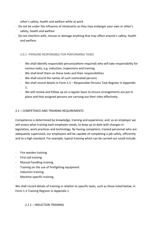other's safety, health and welfare while at work

- Do not be under the influence of intoxicants as they may endanger your own or other's safety, health and welfare
- Do not interfere with, misuse or damage anything that may affect anyone's safety, health and welfare.

# 2.0.1 –PERSONS RESPONSIBLE FOR PERFORMING TASKS

- We shall identify responsible persons(where required) who will take responsibility for various tasks, e.g. induction, inspections and training
- We shall brief them on these tasks and their responsibilities
- We shall record the names of such nominated persons
- We shall record details in Form 1.5 Responsible Persons Task Register in Appendix 1.
- We will review and follow up on a regular basis to ensure arrangements are put in place and that assigned persons are carrying out their roles effectively.

# 2.1 – COMPETENCE AND TRAINING REQUIREMENTS

Competence is determined by knowledge, training and experience, and, as an employer we will assess what training each employee needs, to keep up to date with changes in legislation, work practices and technology. By having competent, trained personnel who are adequately supervised, our employees will be capable of completing a job safely, efficiently and to a high standard. For example, typical training which can be carried out could include:

- Fire warden training
- First-aid training
- Manual handling training
- Training on the use of firefighting equipment
- Induction training
- Machine-specific training.

We shall record details of training in relation to specific tasks, such as those listed below, in Form 1.3 Training Register in Appendix 1.

# 2.1.1 – INDUCTION TRAINING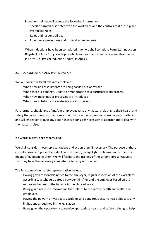Induction training will include the following information:

- Specific hazards associated with the workplace and the controls that are in place
- Workplace rules
- Roles and responsibilities
- Emergency procedures and first-aid arrangements.

When inductions have been completed, then we shall complete Form 1.1 (Induction Register) in Appx 1. Typical topics which are discussed at induction are also covered in Form 1.2 (Typical Induction Topics) in Appx 1.

# 2.2 – CONSULTATION AND PARTICIPATION

We will consult with all relevant employees:

- When new risk assessments are being carried out or revised
- When there is a change, update or modification to a particular work process
- When new machines or processes are introduced
- When new substances or materials are introduced.

Furthermore, should any of my/our employees raise any matters relating to their health and safety that are connected in any way to our work activities, we will consider such matters and will endeavor to take any action that we consider necessary or appropriate to deal with the matters raised.

# 2.3 – THE SAFETY REPRESENTATIVE

We shall consider these representations and act on them if necessary. The purpose of these consultations is to prevent accidents and ill health, to highlight problems, and to identify means of overcoming them. We will facilitate the training of the safety representative so that they have the necessary competence to carry out the task.

The functions of our safety representative include:

- Having given reasonable notice to the employer, regular inspection of the workplace according to a schedule agreed between him/her and the employer based on the nature and extent of the hazards in the place of work
- Being given access to information that relates to the safety, health and welfare of employees
- Having the power to investigate accidents and dangerous occurrences subject to any limitations as outlined in the legislation
- Being given the opportunity to receive appropriate health and safety training to help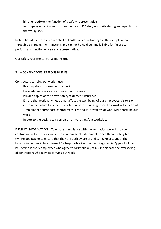him/her perform the function of a safety representative

- Accompanying an inspector from the Health & Safety Authority during an inspection of the workplace.

Note: The safety representative shall not suffer any disadvantage in their employment through discharging their functions and cannot be held criminally liable for failure to perform any function of a safety representative.

Our safety representative is: TIM FEEHILY

# 2.4 – CONTRACTORS' RESPONSIBILITIES

Contractors carrying out work must:

- Be competent to carry out the work
- Have adequate resources to carry out the work
- Provide copies of their own Safety statement Insurance
- Ensure that work activities do not affect the well-being of our employees, visitors or customers. Ensure they identify potential hazards arising from their work activities and implement appropriate control measures and safe systems of work while carrying out work.
- Report to the designated person on arrival at my/our workplace.

FURTHER INFORMATION: To ensure compliance with the legislation we will provide contractors with the relevant sections of our safety statement or health and safety file (where applicable) to ensure that they are both aware of and can take account of the hazards in our workplace. Form 1.5 (Responsible Persons Task Register) in Appendix 1 can be used to identify employees who agree to carry out key tasks, in this case the overseeing of contractors who may be carrying out work.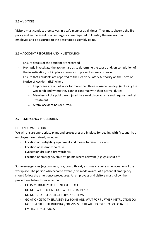# 2.5 – VISITORS

Visitors must conduct themselves in a safe manner at all times. They must observe the fire policy and, in the event of an emergency, are required to Identify themselves to an employee and be escorted to the designated assembly point.

# 2.6 – ACCIDENT REPORTING AND INVESTIGATION

- Ensure details of the accident are recorded
- Promptly investigate the accident so as to determine the cause and, on completion of the investigation, put in place measures to prevent a re-occurrence
- Ensure that accidents are reported to the Health & Safety Authority on the Form of Notice of Accident (IR1) where:
	- $\circ$  Employees are out of work for more than three consecutive days (including the weekend) and where they cannot continue with their normal duties
	- $\circ$  Members of the public are injured by a workplace activity and require medical treatment
	- o A fatal accident has occurred.

# 2.7 – EMERGENCY PROCEDURES

# FIRE AND EVACUATION

We will ensure appropriate plans and procedures are in place for dealing with fire, and that employees are trained, including:

- Location of firefighting equipment and means to raise the alarm
- Location of assembly point(s)
- Evacuation drills and fire warden(s)
- Location of emergency shut-off points where relevant (e.g. gas) shut off.

Some emergencies (e.g. gas leak, fire, bomb threat, etc.) may require an evacuation of the workplace. The person who become aware (or is made aware) of a potential emergency should follow the emergency procedures. All employees and visitors must follow the procedures below for evacuation:

- GO IMMEDIATELY TO THE NEAREST EXIT
- DO NOT WAIT TO FIND OUT WHAT IS HAPPENING
- DO NOT STOP TO COLLECT PERSONAL ITEMS
- GO AT ONCE TO THEIR ASSEMBLY POINT AND WAIT FOR FURTHER INSTRUCTION DO NOT RE-ENTER THE BUILDING/PREMISES UNTIL AUTHORISED TO DO SO BY THE EMERGENCY SERVICES.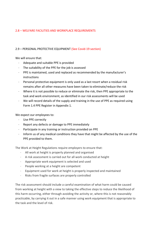# 2.8 – WELFARE FACILITIES AND WORKPLACE REQUIREMENTS

#### 2.9 – PERSONAL PROTECTIVE EQUIPMENT (See Covid-19 section)

We will ensure that:

- Adequate and suitable PPE is provided
- The suitability of the PPE for the job is assessed
- PPE is maintained, used and replaced as recommended by the manufacturer's instructions
- Personal protective equipment is only used as a last resort when a residual risk remains after all other measures have been taken to eliminate/reduce the risk
- Where it is not possible to reduce or eliminate the risk, then PPE appropriate to the task and work environment, as identified in our risk assessments will be used
- We will record details of the supply and training in the use of PPE as required using Form 1.4 PPE Register in Appendix 1.

We expect our employees to:

- Use PPE correctly
- Report any defects or damage to PPE immediately
- Participate in any training or instruction provided on PPE
- Inform us of any medical conditions they have that might be affected by the use of the PPE provided to them.

The Work at Height Regulations require employers to ensure that:

- All work at height is properly planned and organised
- A risk assessment is carried out for all work conducted at height
- Appropriate work equipment is selected and used
- People working at a height are competent
- Equipment used for work at height is properly inspected and maintained
- Risks from fragile surfaces are properly controlled

The risk assessment should include a careful examination of what harm could be caused from working at height with a view to taking the effective steps to reduce the likelihood of this harm occurring, either through avoiding the activity or, where this is not reasonably practicable, by carrying it out in a safe manner using work equipment that is appropriate to the task and the level of risk.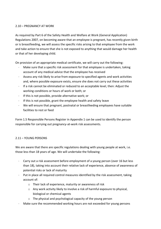# 2.10 – PREGNANCY AT WORK

As required by Part 6 of the Safety Health and Welfare at Work (General Application) Regulations 2007, on becoming aware that an employee is pregnant, has recently given birth or is breastfeeding, we will assess the specific risks arising to that employee from the work and take action to ensure that she is not exposed to anything that would damage her health or that of her developing child.

On provision of an appropriate medical certificate, we will carry out the following:

- Make sure that a specific risk assessment for that employee is undertaken, taking account of any medical advice that the employee has received
- Assess any risk likely to arise from exposure to specified agents and work activities and, where possible exposure exists, ensure she does not carry out these activities
- If a risk cannot be eliminated or reduced to an acceptable level, then: Adjust the working conditions or hours of work or both; or
- If this is not possible, provide alternative work; or
- If this is not possible, grant the employee health and safety leave
- We will ensure that pregnant, postnatal or breastfeeding employees have suitable facilities to rest or feed

Form 1.5 Responsible Persons Register in Appendix 1 can be used to identify the person responsible for carrying out pregnancy-at-work risk assessments.

# 2.11 – YOUNG PERSONS

We are aware that there are specific regulations dealing with young people at work, i.e. those less than 18 years of age. We will undertake the following:

- Carry out a risk assessment before employment of a young person (over 16 but less than 18), taking into account their relative lack of experience, absence of awareness of potential risks or lack of maturity
- Put in place all required control measures identified by the risk assessment, taking account of:
	- o Their lack of experience, maturity or awareness of risk
	- o Any work activity likely to involve a risk of harmful exposure to physical, biological or chemical agents
	- o The physical and psychological capacity of the young person
- Make sure the recommended working hours are not exceeded for young persons